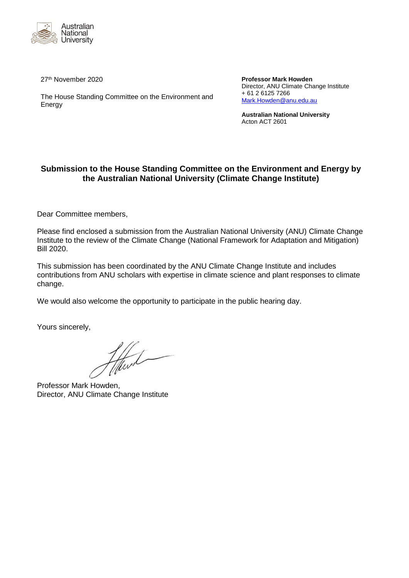

27<sup>th</sup> November 2020

The House Standing Committee on the Environment and Energy

**Professor Mark Howden** Director, ANU Climate Change Institute + 61 2 6125 7266 [Mark.Howden@anu.edu.au](mailto:Mark.Howden@anu.edu.au)

**Australian National University** Acton ACT 2601

## **Submission to the House Standing Committee on the Environment and Energy by the Australian National University (Climate Change Institute)**

Dear Committee members,

Please find enclosed a submission from the Australian National University (ANU) Climate Change Institute to the review of the Climate Change (National Framework for Adaptation and Mitigation) Bill 2020.

This submission has been coordinated by the ANU Climate Change Institute and includes contributions from ANU scholars with expertise in climate science and plant responses to climate change.

We would also welcome the opportunity to participate in the public hearing day.

Yours sincerely,

Howah

Professor Mark Howden, Director, ANU Climate Change Institute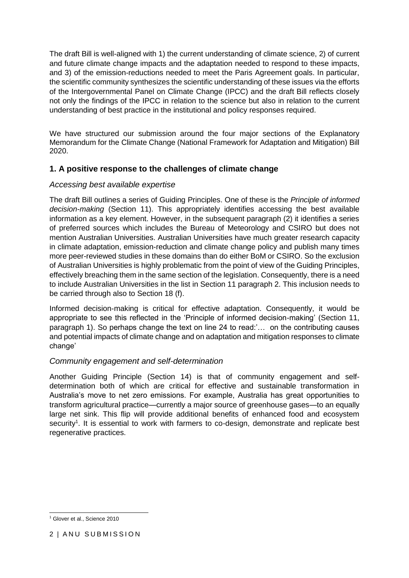The draft Bill is well-aligned with 1) the current understanding of climate science, 2) of current and future climate change impacts and the adaptation needed to respond to these impacts, and 3) of the emission-reductions needed to meet the Paris Agreement goals. In particular, the scientific community synthesizes the scientific understanding of these issues via the efforts of the Intergovernmental Panel on Climate Change (IPCC) and the draft Bill reflects closely not only the findings of the IPCC in relation to the science but also in relation to the current understanding of best practice in the institutional and policy responses required.

We have structured our submission around the four major sections of the Explanatory Memorandum for the Climate Change (National Framework for Adaptation and Mitigation) Bill 2020.

# **1. A positive response to the challenges of climate change**

### *Accessing best available expertise*

The draft Bill outlines a series of Guiding Principles. One of these is the *Principle of informed decision-making* (Section 11). This appropriately identifies accessing the best available information as a key element. However, in the subsequent paragraph (2) it identifies a series of preferred sources which includes the Bureau of Meteorology and CSIRO but does not mention Australian Universities. Australian Universities have much greater research capacity in climate adaptation, emission-reduction and climate change policy and publish many times more peer-reviewed studies in these domains than do either BoM or CSIRO. So the exclusion of Australian Universities is highly problematic from the point of view of the Guiding Principles, effectively breaching them in the same section of the legislation. Consequently, there is a need to include Australian Universities in the list in Section 11 paragraph 2. This inclusion needs to be carried through also to Section 18 (f).

Informed decision-making is critical for effective adaptation. Consequently, it would be appropriate to see this reflected in the 'Principle of informed decision-making' (Section 11, paragraph 1). So perhaps change the text on line 24 to read:'… on the contributing causes and potential impacts of climate change and on adaptation and mitigation responses to climate change'

### *Community engagement and self-determination*

Another Guiding Principle (Section 14) is that of community engagement and selfdetermination both of which are critical for effective and sustainable transformation in Australia's move to net zero emissions. For example, Australia has great opportunities to transform agricultural practice—currently a major source of greenhouse gases—to an equally large net sink. This flip will provide additional benefits of enhanced food and ecosystem security<sup>1</sup>. It is essential to work with farmers to co-design, demonstrate and replicate best regenerative practices.

<sup>-</sup><sup>1</sup> Glover et al., Science 2010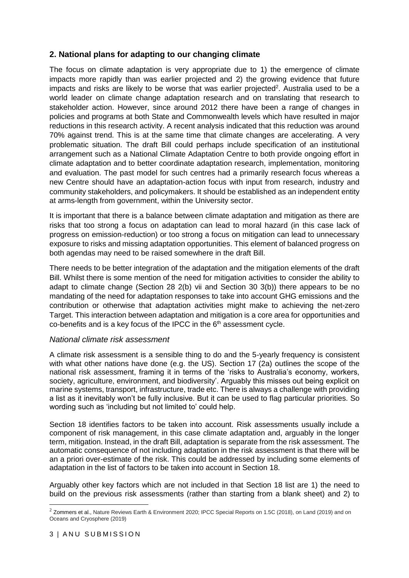## **2. National plans for adapting to our changing climate**

The focus on climate adaptation is very appropriate due to 1) the emergence of climate impacts more rapidly than was earlier projected and 2) the growing evidence that future impacts and risks are likely to be worse that was earlier projected<sup>2</sup>. Australia used to be a world leader on climate change adaptation research and on translating that research to stakeholder action. However, since around 2012 there have been a range of changes in policies and programs at both State and Commonwealth levels which have resulted in major reductions in this research activity. A recent analysis indicated that this reduction was around 70% against trend. This is at the same time that climate changes are accelerating. A very problematic situation. The draft Bill could perhaps include specification of an institutional arrangement such as a National Climate Adaptation Centre to both provide ongoing effort in climate adaptation and to better coordinate adaptation research, implementation, monitoring and evaluation. The past model for such centres had a primarily research focus whereas a new Centre should have an adaptation-action focus with input from research, industry and community stakeholders, and policymakers. It should be established as an independent entity at arms-length from government, within the University sector.

It is important that there is a balance between climate adaptation and mitigation as there are risks that too strong a focus on adaptation can lead to moral hazard (in this case lack of progress on emission-reduction) or too strong a focus on mitigation can lead to unnecessary exposure to risks and missing adaptation opportunities. This element of balanced progress on both agendas may need to be raised somewhere in the draft Bill.

There needs to be better integration of the adaptation and the mitigation elements of the draft Bill. Whilst there is some mention of the need for mitigation activities to consider the ability to adapt to climate change (Section 28 2(b) vii and Section 30 3(b)) there appears to be no mandating of the need for adaptation responses to take into account GHG emissions and the contribution or otherwise that adaptation activities might make to achieving the net-zero Target. This interaction between adaptation and mitigation is a core area for opportunities and co-benefits and is a key focus of the IPCC in the 6<sup>th</sup> assessment cycle.

#### *National climate risk assessment*

A climate risk assessment is a sensible thing to do and the 5-yearly frequency is consistent with what other nations have done (e.g. the US). Section 17 (2a) outlines the scope of the national risk assessment, framing it in terms of the 'risks to Australia's economy, workers, society, agriculture, environment, and biodiversity'. Arguably this misses out being explicit on marine systems, transport, infrastructure, trade etc. There is always a challenge with providing a list as it inevitably won't be fully inclusive. But it can be used to flag particular priorities. So wording such as 'including but not limited to' could help.

Section 18 identifies factors to be taken into account. Risk assessments usually include a component of risk management, in this case climate adaptation and, arguably in the longer term, mitigation. Instead, in the draft Bill, adaptation is separate from the risk assessment. The automatic consequence of not including adaptation in the risk assessment is that there will be an a priori over-estimate of the risk. This could be addressed by including some elements of adaptation in the list of factors to be taken into account in Section 18.

Arguably other key factors which are not included in that Section 18 list are 1) the need to build on the previous risk assessments (rather than starting from a blank sheet) and 2) to

-

 $2$  Zommers et al., Nature Reviews Earth & Environment 2020; IPCC Special Reports on 1.5C (2018), on Land (2019) and on Oceans and Cryosphere (2019)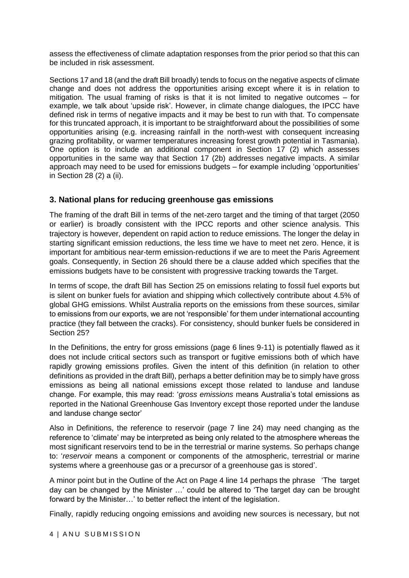assess the effectiveness of climate adaptation responses from the prior period so that this can be included in risk assessment.

Sections 17 and 18 (and the draft Bill broadly) tends to focus on the negative aspects of climate change and does not address the opportunities arising except where it is in relation to mitigation. The usual framing of risks is that it is not limited to negative outcomes – for example, we talk about 'upside risk'. However, in climate change dialogues, the IPCC have defined risk in terms of negative impacts and it may be best to run with that. To compensate for this truncated approach, it is important to be straightforward about the possibilities of some opportunities arising (e.g. increasing rainfall in the north-west with consequent increasing grazing profitability, or warmer temperatures increasing forest growth potential in Tasmania). One option is to include an additional component in Section 17 (2) which assesses opportunities in the same way that Section 17 (2b) addresses negative impacts. A similar approach may need to be used for emissions budgets – for example including 'opportunities' in Section 28 (2) a (ii).

#### **3. National plans for reducing greenhouse gas emissions**

The framing of the draft Bill in terms of the net-zero target and the timing of that target (2050 or earlier) is broadly consistent with the IPCC reports and other science analysis. This trajectory is however, dependent on rapid action to reduce emissions. The longer the delay in starting significant emission reductions, the less time we have to meet net zero. Hence, it is important for ambitious near-term emission-reductions if we are to meet the Paris Agreement goals. Consequently, in Section 26 should there be a clause added which specifies that the emissions budgets have to be consistent with progressive tracking towards the Target.

In terms of scope, the draft Bill has Section 25 on emissions relating to fossil fuel exports but is silent on bunker fuels for aviation and shipping which collectively contribute about 4.5% of global GHG emissions. Whilst Australia reports on the emissions from these sources, similar to emissions from our exports, we are not 'responsible' for them under international accounting practice (they fall between the cracks). For consistency, should bunker fuels be considered in Section 25?

In the Definitions, the entry for gross emissions (page 6 lines 9-11) is potentially flawed as it does not include critical sectors such as transport or fugitive emissions both of which have rapidly growing emissions profiles. Given the intent of this definition (in relation to other definitions as provided in the draft Bill), perhaps a better definition may be to simply have gross emissions as being all national emissions except those related to landuse and landuse change. For example, this may read: '*gross emissions* means Australia's total emissions as reported in the National Greenhouse Gas Inventory except those reported under the landuse and landuse change sector'

Also in Definitions, the reference to reservoir (page 7 line 24) may need changing as the reference to 'climate' may be interpreted as being only related to the atmosphere whereas the most significant reservoirs tend to be in the terrestrial or marine systems. So perhaps change to: '*reservoir* means a component or components of the atmospheric, terrestrial or marine systems where a greenhouse gas or a precursor of a greenhouse gas is stored'.

A minor point but in the Outline of the Act on Page 4 line 14 perhaps the phrase 'The target day can be changed by the Minister …' could be altered to 'The target day can be brought forward by the Minister…' to better reflect the intent of the legislation.

Finally, rapidly reducing ongoing emissions and avoiding new sources is necessary, but not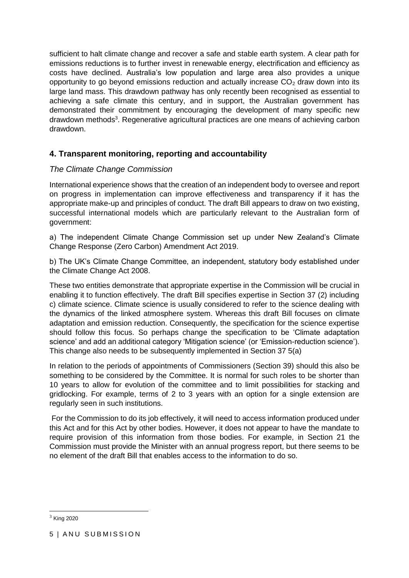sufficient to halt climate change and recover a safe and stable earth system. A clear path for emissions reductions is to further invest in renewable energy, electrification and efficiency as costs have declined. Australia's low population and large area also provides a unique opportunity to go beyond emissions reduction and actually increase  $CO<sub>2</sub>$  draw down into its large land mass. This drawdown pathway has only recently been recognised as essential to achieving a safe climate this century, and in support, the Australian government has demonstrated their commitment by encouraging the development of many specific new drawdown methods<sup>3</sup>. Regenerative agricultural practices are one means of achieving carbon drawdown.

# **4. Transparent monitoring, reporting and accountability**

## *The Climate Change Commission*

International experience shows that the creation of an independent body to oversee and report on progress in implementation can improve effectiveness and transparency if it has the appropriate make-up and principles of conduct. The draft Bill appears to draw on two existing, successful international models which are particularly relevant to the Australian form of government:

a) The independent Climate Change Commission set up under New Zealand's Climate Change Response (Zero Carbon) Amendment Act 2019.

b) The UK's Climate Change Committee, an independent, statutory body established under the Climate Change Act 2008.

These two entities demonstrate that appropriate expertise in the Commission will be crucial in enabling it to function effectively. The draft Bill specifies expertise in Section 37 (2) including c) climate science. Climate science is usually considered to refer to the science dealing with the dynamics of the linked atmosphere system. Whereas this draft Bill focuses on climate adaptation and emission reduction. Consequently, the specification for the science expertise should follow this focus. So perhaps change the specification to be 'Climate adaptation science' and add an additional category 'Mitigation science' (or 'Emission-reduction science'). This change also needs to be subsequently implemented in Section 37 5(a)

In relation to the periods of appointments of Commissioners (Section 39) should this also be something to be considered by the Committee. It is normal for such roles to be shorter than 10 years to allow for evolution of the committee and to limit possibilities for stacking and gridlocking. For example, terms of 2 to 3 years with an option for a single extension are regularly seen in such institutions.

For the Commission to do its job effectively, it will need to access information produced under this Act and for this Act by other bodies. However, it does not appear to have the mandate to require provision of this information from those bodies. For example, in Section 21 the Commission must provide the Minister with an annual progress report, but there seems to be no element of the draft Bill that enables access to the information to do so.

1

 $3$  King 2020